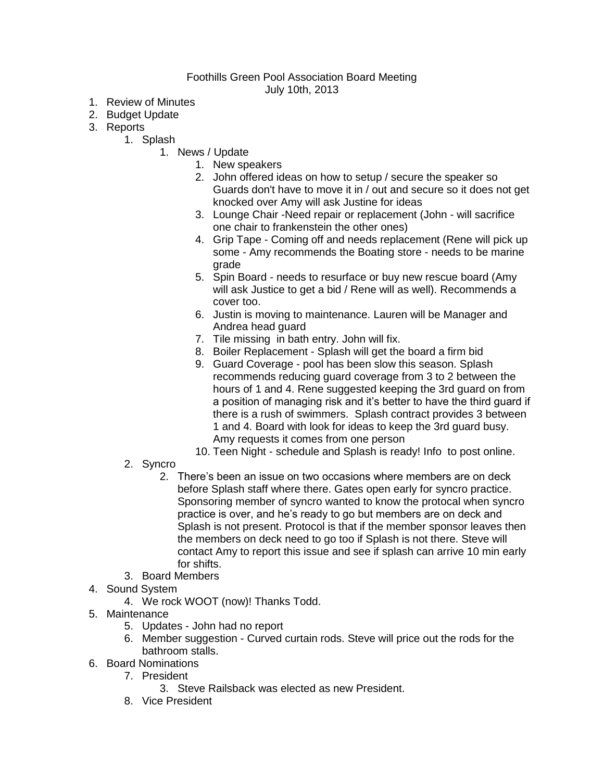## Foothills Green Pool Association Board Meeting July 10th, 2013

- 1. Review of Minutes
- 2. Budget Update
- 3. Reports
	- 1. Splash
		- 1. News / Update
			- 1. New speakers
			- 2. John offered ideas on how to setup / secure the speaker so Guards don't have to move it in / out and secure so it does not get knocked over Amy will ask Justine for ideas
			- 3. Lounge Chair -Need repair or replacement (John will sacrifice one chair to frankenstein the other ones)
			- 4. Grip Tape Coming off and needs replacement (Rene will pick up some - Amy recommends the Boating store - needs to be marine grade
			- 5. Spin Board needs to resurface or buy new rescue board (Amy will ask Justice to get a bid / Rene will as well). Recommends a cover too.
			- 6. Justin is moving to maintenance. Lauren will be Manager and Andrea head guard
			- 7. Tile missing in bath entry. John will fix.
			- 8. Boiler Replacement Splash will get the board a firm bid
			- 9. Guard Coverage pool has been slow this season. Splash recommends reducing guard coverage from 3 to 2 between the hours of 1 and 4. Rene suggested keeping the 3rd guard on from a position of managing risk and it's better to have the third guard if there is a rush of swimmers. Splash contract provides 3 between 1 and 4. Board with look for ideas to keep the 3rd guard busy. Amy requests it comes from one person
			- 10. Teen Night schedule and Splash is ready! Info to post online.
		- 2. Syncro
			- 2. There's been an issue on two occasions where members are on deck before Splash staff where there. Gates open early for syncro practice. Sponsoring member of syncro wanted to know the protocal when syncro practice is over, and he's ready to go but members are on deck and Splash is not present. Protocol is that if the member sponsor leaves then the members on deck need to go too if Splash is not there. Steve will contact Amy to report this issue and see if splash can arrive 10 min early for shifts.
		- 3. Board Members
- 4. Sound System
	- 4. We rock WOOT (now)! Thanks Todd.
- 5. Maintenance
	- 5. Updates John had no report
	- 6. Member suggestion Curved curtain rods. Steve will price out the rods for the bathroom stalls.
- 6. Board Nominations
	- 7. President
		- 3. Steve Railsback was elected as new President.
	- 8. Vice President